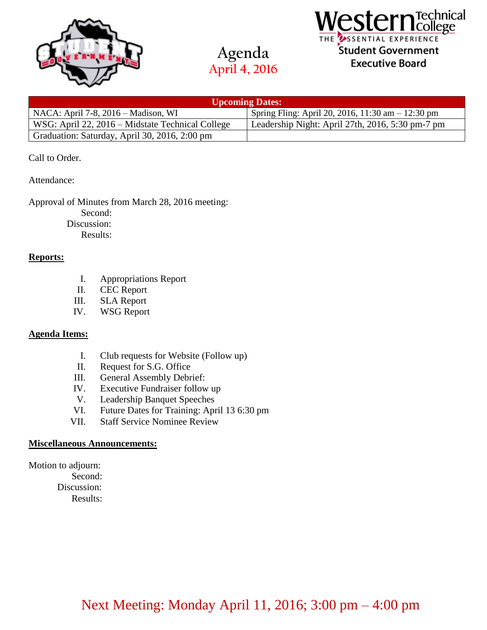



## $\mathop{tern}^\mathrm{rechnical}_{\mathrm{College}}$ THE USSENTIAL EXPERIENCE Student Government **Executive Board**

| <b>Upcoming Dates:</b>                           |                                                   |
|--------------------------------------------------|---------------------------------------------------|
| NACA: April 7-8, 2016 – Madison, WI              | Spring Fling: April 20, 2016, 11:30 am - 12:30 pm |
| WSG: April 22, 2016 – Midstate Technical College | Leadership Night: April 27th, 2016, 5:30 pm-7 pm  |
| Graduation: Saturday, April 30, 2016, 2:00 pm    |                                                   |

### Call to Order.

Attendance:

### Approval of Minutes from March 28, 2016 meeting:

Second:

Discussion:

Results:

### **Reports:**

- I. Appropriations Report
- II. CEC Report
- III. SLA Report
- IV. WSG Report

### **Agenda Items:**

- I. Club requests for Website (Follow up)
- II. Request for S.G. Office
- III. General Assembly Debrief:
- IV. Executive Fundraiser follow up
- V. Leadership Banquet Speeches
- VI. Future Dates for Training: April 13 6:30 pm
- VII. Staff Service Nominee Review

### **Miscellaneous Announcements:**

Motion to adjourn: Second: Discussion:

Results: